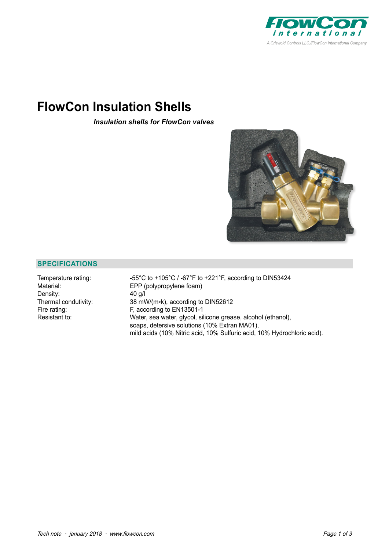

# **FlowCon Insulation Shells**

*Insulation shells for FlowCon valves*



### **SPECIFICATIONS**

Density: 40 g/l

Temperature rating: -55°C to +105°C / -67°F to +221°F, according to DIN53424 Material: EPP (polypropylene foam) Thermal condutivity:  $38 \text{ mW/(m*k)}$ , according to DIN52612<br>Fire rating:  $F$ , according to EN13501-1 F, according to EN13501-1 Resistant to: Water, sea water, glycol, silicone grease, alcohol (ethanol), soaps, detersive solutions (10% Extran MA01), mild acids (10% Nitric acid, 10% Sulfuric acid, 10% Hydrochloric acid).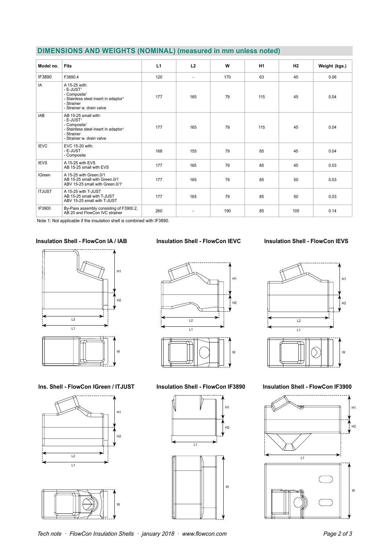| DIMENSIONS AND WEIGHTS (NOMINAL) (measured in mm unless noted) |  |  |  |  |  |
|----------------------------------------------------------------|--|--|--|--|--|
|----------------------------------------------------------------|--|--|--|--|--|

| Model no.     | <b>Fits</b>                                                                                                                                                              | L1  | L2                       | W   | H <sub>1</sub> | H2  | Weight (kgs.) |
|---------------|--------------------------------------------------------------------------------------------------------------------------------------------------------------------------|-----|--------------------------|-----|----------------|-----|---------------|
| IF3890        | F3890.4                                                                                                                                                                  | 120 | $\overline{\phantom{a}}$ | 170 | 63             | 45  | 0.06          |
| IA            | A 15-25 with:<br>- E-JUST <sup>1</sup><br>- Composite <sup>1</sup><br>- Stainless steel insert in adaptor <sup>1</sup><br>- Strainer<br>- Strainer w. drain valve        | 177 | 165                      | 79  | 115            | 45  | 0.04          |
| <b>IAB</b>    | AB 15-25 small with:<br>- E-JUST <sup>1</sup><br>- Composite <sup>1</sup><br>- Stainless steel insert in adaptor <sup>1</sup><br>- Strainer<br>- Strainer w. drain valve | 177 | 165                      | 79  | 115            | 45  | 0.04          |
| <b>IEVC</b>   | EVC 15-20 with:<br>- E-JUST<br>- Composite                                                                                                                               | 168 | 155                      | 79  | 85             | 45  | 0.04          |
| <b>IEVS</b>   | A 15-25 with EVS<br>AB 15-25 small with EVS                                                                                                                              | 177 | 165                      | 79  | 85             | 45  | 0.03          |
| <b>IGreen</b> | A 15-25 with Green.0/1<br>AB 15-25 small with Green.0/1<br>ABV 15-25 small with Green.0/1 <sup>1</sup>                                                                   | 177 | 165                      | 79  | 85             | 50  | 0.03          |
| <b>ITJUST</b> | A 15-25 with T-JUST<br>AB 15-25 small with T-JUST<br>ABV 15-25 small with T-JUST                                                                                         | 177 | 165                      | 79  | 85             | 50  | 0.03          |
| IF3900        | By-Pass assembly consisting of F3900.2,<br>AB 20 and FlowCon IVC strainer                                                                                                | 260 | L,                       | 190 | 85             | 105 | 0.14          |

Note 1: Not applicable if the insulation shell is combined with IF3890.

#### **Insulation Shell - FlowCon IA / IAB**



Ins. Shell - FlowCon IGreen / ITJUST





#### **Insulation Shell - FlowCon IEVC**





**Insulation Shell - FlowCon IF3890**





#### **Insulation Shell - FlowCon IEVS**



**Insulation Shell - FlowCon IF3900**